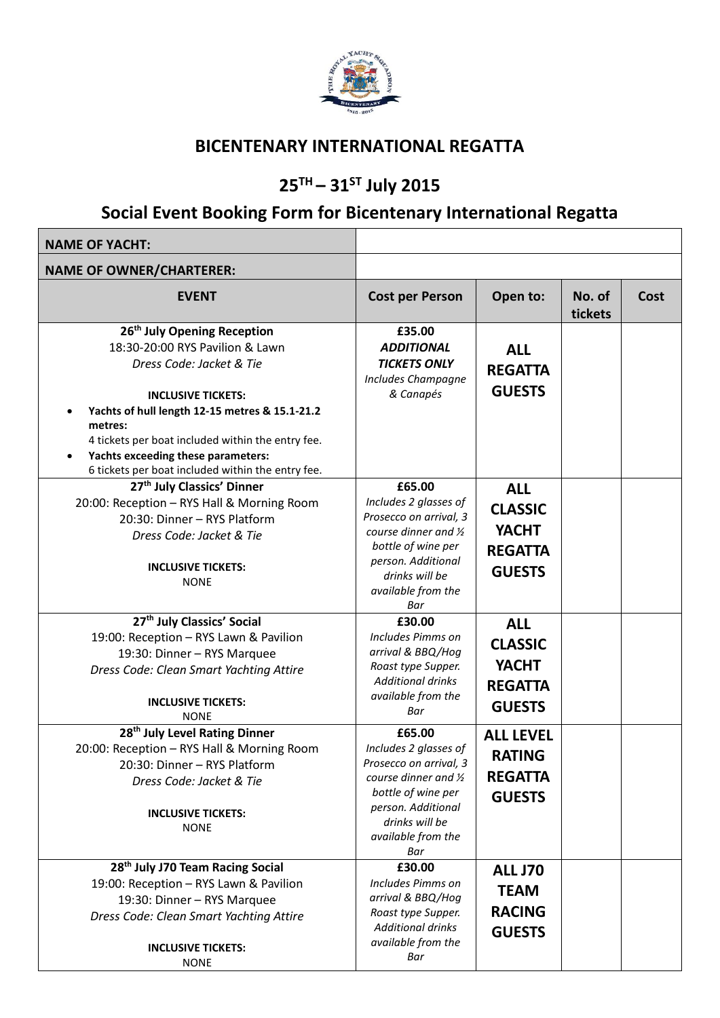

#### **BICENTENARY INTERNATIONAL REGATTA**

# **25TH – 31ST July 2015**

# **Social Event Booking Form for Bicentenary International Regatta**

| <b>NAME OF YACHT:</b>                                                                                                                                                                                                                                                                                                                            |                                                                                                                                                                                         |                                                                                 |                   |      |
|--------------------------------------------------------------------------------------------------------------------------------------------------------------------------------------------------------------------------------------------------------------------------------------------------------------------------------------------------|-----------------------------------------------------------------------------------------------------------------------------------------------------------------------------------------|---------------------------------------------------------------------------------|-------------------|------|
| <b>NAME OF OWNER/CHARTERER:</b>                                                                                                                                                                                                                                                                                                                  |                                                                                                                                                                                         |                                                                                 |                   |      |
| <b>EVENT</b>                                                                                                                                                                                                                                                                                                                                     | <b>Cost per Person</b>                                                                                                                                                                  | Open to:                                                                        | No. of<br>tickets | Cost |
| 26 <sup>th</sup> July Opening Reception<br>18:30-20:00 RYS Pavilion & Lawn<br>Dress Code: Jacket & Tie<br><b>INCLUSIVE TICKETS:</b><br>Yachts of hull length 12-15 metres & 15.1-21.2<br>metres:<br>4 tickets per boat included within the entry fee.<br>Yachts exceeding these parameters:<br>6 tickets per boat included within the entry fee. | £35.00<br><b>ADDITIONAL</b><br><b>TICKETS ONLY</b><br><b>Includes Champagne</b><br>& Canapés                                                                                            | <b>ALL</b><br><b>REGATTA</b><br><b>GUESTS</b>                                   |                   |      |
| 27 <sup>th</sup> July Classics' Dinner<br>20:00: Reception - RYS Hall & Morning Room<br>20:30: Dinner - RYS Platform<br>Dress Code: Jacket & Tie<br><b>INCLUSIVE TICKETS:</b><br><b>NONE</b>                                                                                                                                                     | £65.00<br>Includes 2 glasses of<br>Prosecco on arrival, 3<br>course dinner and $\frac{1}{2}$<br>bottle of wine per<br>person. Additional<br>drinks will be<br>available from the<br>Bar | <b>ALL</b><br><b>CLASSIC</b><br><b>YACHT</b><br><b>REGATTA</b><br><b>GUESTS</b> |                   |      |
| 27 <sup>th</sup> July Classics' Social<br>19:00: Reception - RYS Lawn & Pavilion<br>19:30: Dinner - RYS Marquee<br>Dress Code: Clean Smart Yachting Attire<br><b>INCLUSIVE TICKETS:</b><br><b>NONE</b>                                                                                                                                           | £30.00<br>Includes Pimms on<br>arrival & BBQ/Hog<br>Roast type Supper.<br><b>Additional drinks</b><br>available from the<br>Bar                                                         | <b>ALL</b><br><b>CLASSIC</b><br><b>YACHT</b><br><b>REGATTA</b><br><b>GUESTS</b> |                   |      |
| 28 <sup>th</sup> July Level Rating Dinner<br>20:00: Reception - RYS Hall & Morning Room<br>20:30: Dinner - RYS Platform<br>Dress Code: Jacket & Tie<br><b>INCLUSIVE TICKETS:</b><br><b>NONE</b>                                                                                                                                                  | £65.00<br>Includes 2 glasses of<br>Prosecco on arrival, 3<br>course dinner and 1/2<br>bottle of wine per<br>person. Additional<br>drinks will be<br>available from the<br>Bar           | <b>ALL LEVEL</b><br><b>RATING</b><br><b>REGATTA</b><br><b>GUESTS</b>            |                   |      |
| 28 <sup>th</sup> July J70 Team Racing Social<br>19:00: Reception - RYS Lawn & Pavilion<br>19:30: Dinner - RYS Marquee<br>Dress Code: Clean Smart Yachting Attire<br><b>INCLUSIVE TICKETS:</b><br><b>NONE</b>                                                                                                                                     | £30.00<br>Includes Pimms on<br>arrival & BBQ/Hog<br>Roast type Supper.<br><b>Additional drinks</b><br>available from the<br>Bar                                                         | <b>ALL J70</b><br><b>TEAM</b><br><b>RACING</b><br><b>GUESTS</b>                 |                   |      |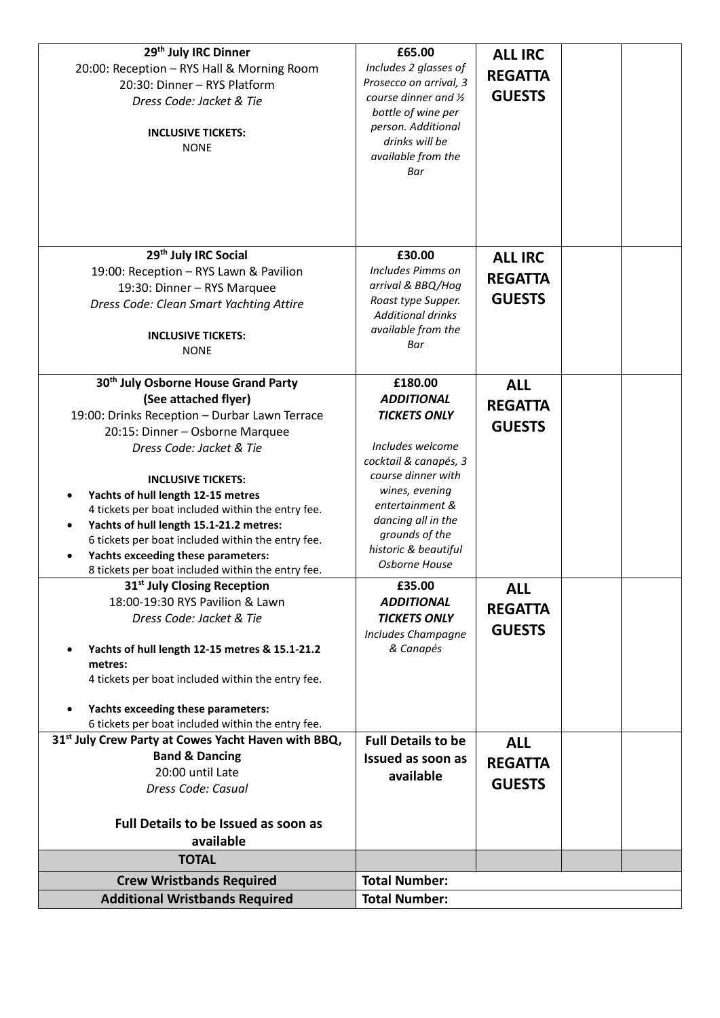| 29 <sup>th</sup> July IRC Dinner<br>20:00: Reception - RYS Hall & Morning Room<br>20:30: Dinner - RYS Platform<br>Dress Code: Jacket & Tie<br><b>INCLUSIVE TICKETS:</b><br><b>NONE</b> | £65.00<br>Includes 2 glasses of<br>Prosecco on arrival, 3<br>course dinner and $\frac{1}{2}$<br>bottle of wine per<br>person. Additional<br>drinks will be<br>available from the<br>Bar | <b>ALL IRC</b><br><b>REGATTA</b><br><b>GUESTS</b> |  |  |
|----------------------------------------------------------------------------------------------------------------------------------------------------------------------------------------|-----------------------------------------------------------------------------------------------------------------------------------------------------------------------------------------|---------------------------------------------------|--|--|
| 29th July IRC Social<br>19:00: Reception - RYS Lawn & Pavilion                                                                                                                         | £30.00<br>Includes Pimms on                                                                                                                                                             | <b>ALL IRC</b>                                    |  |  |
| 19:30: Dinner - RYS Marquee                                                                                                                                                            | arrival & BBQ/Hog                                                                                                                                                                       | <b>REGATTA</b>                                    |  |  |
| Dress Code: Clean Smart Yachting Attire                                                                                                                                                | Roast type Supper.                                                                                                                                                                      | <b>GUESTS</b>                                     |  |  |
|                                                                                                                                                                                        | <b>Additional drinks</b>                                                                                                                                                                |                                                   |  |  |
| <b>INCLUSIVE TICKETS:</b>                                                                                                                                                              | available from the                                                                                                                                                                      |                                                   |  |  |
| <b>NONE</b>                                                                                                                                                                            | Bar                                                                                                                                                                                     |                                                   |  |  |
|                                                                                                                                                                                        |                                                                                                                                                                                         |                                                   |  |  |
| 30 <sup>th</sup> July Osborne House Grand Party<br>(See attached flyer)                                                                                                                | £180.00<br><b>ADDITIONAL</b>                                                                                                                                                            | <b>ALL</b>                                        |  |  |
| 19:00: Drinks Reception - Durbar Lawn Terrace                                                                                                                                          | <b>TICKETS ONLY</b>                                                                                                                                                                     | <b>REGATTA</b>                                    |  |  |
| 20:15: Dinner - Osborne Marquee                                                                                                                                                        |                                                                                                                                                                                         | <b>GUESTS</b>                                     |  |  |
| Dress Code: Jacket & Tie                                                                                                                                                               | Includes welcome                                                                                                                                                                        |                                                   |  |  |
|                                                                                                                                                                                        | cocktail & canapés, 3                                                                                                                                                                   |                                                   |  |  |
| <b>INCLUSIVE TICKETS:</b>                                                                                                                                                              | course dinner with                                                                                                                                                                      |                                                   |  |  |
| Yachts of hull length 12-15 metres                                                                                                                                                     | wines, evening<br>entertainment &                                                                                                                                                       |                                                   |  |  |
| 4 tickets per boat included within the entry fee.                                                                                                                                      | dancing all in the                                                                                                                                                                      |                                                   |  |  |
| Yachts of hull length 15.1-21.2 metres:<br>6 tickets per boat included within the entry fee.                                                                                           | grounds of the                                                                                                                                                                          |                                                   |  |  |
| Yachts exceeding these parameters:                                                                                                                                                     | historic & beautiful                                                                                                                                                                    |                                                   |  |  |
| 8 tickets per boat included within the entry fee.                                                                                                                                      | Osborne House                                                                                                                                                                           |                                                   |  |  |
| 31 <sup>st</sup> July Closing Reception                                                                                                                                                | £35.00                                                                                                                                                                                  | <b>ALL</b>                                        |  |  |
| 18:00-19:30 RYS Pavilion & Lawn                                                                                                                                                        | <b>ADDITIONAL</b>                                                                                                                                                                       | <b>REGATTA</b>                                    |  |  |
| Dress Code: Jacket & Tie                                                                                                                                                               | <b>TICKETS ONLY</b>                                                                                                                                                                     | <b>GUESTS</b>                                     |  |  |
| Yachts of hull length 12-15 metres & 15.1-21.2                                                                                                                                         | Includes Champagne<br>& Canapés                                                                                                                                                         |                                                   |  |  |
| metres:                                                                                                                                                                                |                                                                                                                                                                                         |                                                   |  |  |
| 4 tickets per boat included within the entry fee.                                                                                                                                      |                                                                                                                                                                                         |                                                   |  |  |
| Yachts exceeding these parameters:                                                                                                                                                     |                                                                                                                                                                                         |                                                   |  |  |
| 6 tickets per boat included within the entry fee.                                                                                                                                      |                                                                                                                                                                                         |                                                   |  |  |
| 31 <sup>st</sup> July Crew Party at Cowes Yacht Haven with BBQ,                                                                                                                        | <b>Full Details to be</b>                                                                                                                                                               | <b>ALL</b>                                        |  |  |
| <b>Band &amp; Dancing</b>                                                                                                                                                              | Issued as soon as                                                                                                                                                                       | <b>REGATTA</b>                                    |  |  |
| 20:00 until Late<br>Dress Code: Casual                                                                                                                                                 | available                                                                                                                                                                               | <b>GUESTS</b>                                     |  |  |
|                                                                                                                                                                                        |                                                                                                                                                                                         |                                                   |  |  |
| Full Details to be Issued as soon as                                                                                                                                                   |                                                                                                                                                                                         |                                                   |  |  |
| available                                                                                                                                                                              |                                                                                                                                                                                         |                                                   |  |  |
| <b>TOTAL</b>                                                                                                                                                                           |                                                                                                                                                                                         |                                                   |  |  |
| <b>Crew Wristbands Required</b>                                                                                                                                                        | <b>Total Number:</b>                                                                                                                                                                    |                                                   |  |  |
| <b>Additional Wristbands Required</b>                                                                                                                                                  | <b>Total Number:</b>                                                                                                                                                                    |                                                   |  |  |